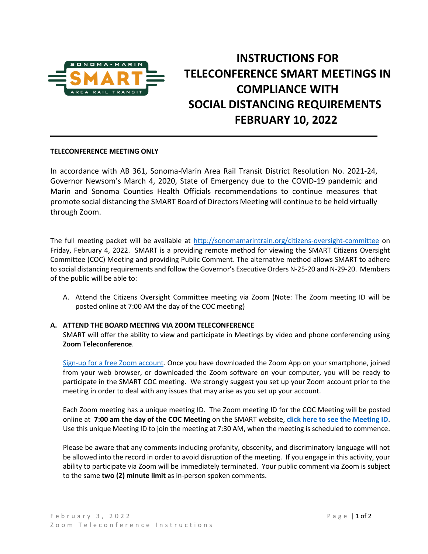

# **INSTRUCTIONS FOR TELECONFERENCE SMART MEETINGS IN COMPLIANCE WITH SOCIAL DISTANCING REQUIREMENTS FEBRUARY 10, 2022**

#### **TELECONFERENCE MEETING ONLY**

**\_\_\_\_\_\_ \_\_\_\_\_\_\_\_**

In accordance with AB 361, Sonoma-Marin Area Rail Transit District Resolution No. 2021-24, Governor Newsom's March 4, 2020, State of Emergency due to the COVID-19 pandemic and Marin and Sonoma Counties Health Officials recommendations to continue measures that promote social distancing the SMART Board of Directors Meeting will continue to be held virtually through Zoom.

The full meeting packet will be available at<http://sonomamarintrain.org/citizens-oversight-committee> on Friday, February 4, 2022. SMART is a providing remote method for viewing the SMART Citizens Oversight Committee (COC) Meeting and providing Public Comment. The alternative method allows SMART to adhere to social distancing requirements and follow the Governor's Executive Orders N-25-20 and N-29-20. Members of the public will be able to:

A. Attend the Citizens Oversight Committee meeting via Zoom (Note: The Zoom meeting ID will be posted online at 7:00 AM the day of the COC meeting)

## **A. ATTEND THE BOARD MEETING VIA ZOOM TELECONFERENCE**

SMART will offer the ability to view and participate in Meetings by video and phone conferencing using **Zoom Teleconference**.

[Sign-up for a free Zoom](https://zoom.us/) account. Once you have downloaded the Zoom App on your smartphone, joined from your web browser, or downloaded the Zoom software on your computer, you will be ready to participate in the SMART COC meeting**.** We strongly suggest you set up your Zoom account prior to the meeting in order to deal with any issues that may arise as you set up your account.

Each Zoom meeting has a unique meeting ID. The Zoom meeting ID for the COC Meeting will be posted online at **7:00 am the day of the COC Meeting** on the SMART website, **[click here to see the Meeting ID](http://sonomamarintrain.org/citizens-oversight-committee)**. Use this unique Meeting ID to join the meeting at 7:30 AM, when the meeting is scheduled to commence.

Please be aware that any comments including profanity, obscenity, and discriminatory language will not be allowed into the record in order to avoid disruption of the meeting. If you engage in this activity, your ability to participate via Zoom will be immediately terminated. Your public comment via Zoom is subject to the same **two (2) minute limit** as in-person spoken comments.